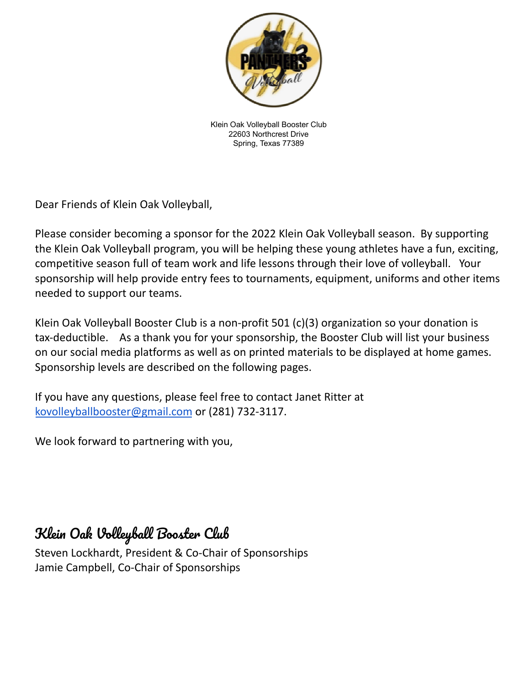

Klein Oak Volleyball Booster Club 22603 Northcrest Drive Spring, Texas 77389

Dear Friends of Klein Oak Volleyball,

Please consider becoming a sponsor for the 2022 Klein Oak Volleyball season. By supporting the Klein Oak Volleyball program, you will be helping these young athletes have a fun, exciting, competitive season full of team work and life lessons through their love of volleyball. Your sponsorship will help provide entry fees to tournaments, equipment, uniforms and other items needed to support our teams.

Klein Oak Volleyball Booster Club is a non-profit 501 (c)(3) organization so your donation is tax-deductible. As a thank you for your sponsorship, the Booster Club will list your business on our social media platforms as well as on printed materials to be displayed at home games. Sponsorship levels are described on the following pages.

If you have any questions, please feel free to contact Janet Ritter at kovolleyballbooster@gmail.com or (281) 732-3117.

We look forward to partnering with you,

# Klein Oak Volleyball Booster Club

Steven Lockhardt, President & Co-Chair of Sponsorships Jamie Campbell, Co-Chair of Sponsorships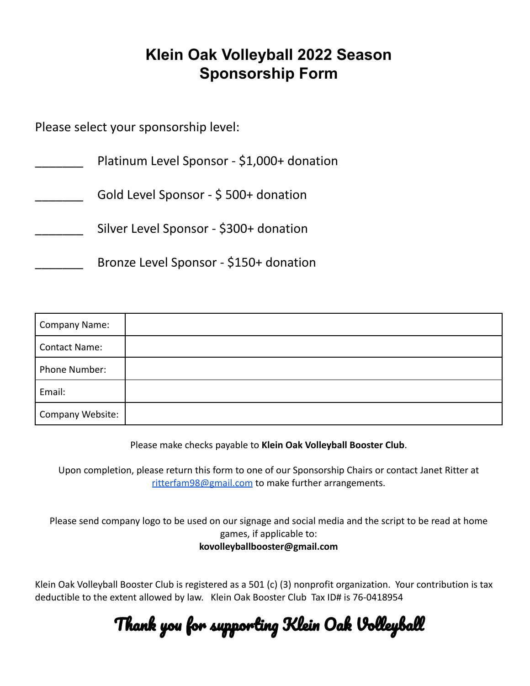### **Klein Oak Volleyball 2022 Season Sponsorship Form**

Please select your sponsorship level:

| Platinum Level Sponsor - \$1,000+ donation |
|--------------------------------------------|
| Gold Level Sponsor - \$500+ donation       |
| Silver Level Sponsor - \$300+ donation     |
| Bronze Level Sponsor - \$150+ donation     |

| <b>Company Name:</b> |  |
|----------------------|--|
| <b>Contact Name:</b> |  |
| Phone Number:        |  |
| Email:               |  |
| Company Website:     |  |

Please make checks payable to **Klein Oak Volleyball Booster Club**.

Upon completion, please return this form to one of our Sponsorship Chairs or contact Janet Ritter at ritterfam98@gmail.com to make further arrangements.

Please send company logo to be used on our signage and social media and the script to be read at home games, if applicable to: **kovolleyballbooster@gmail.com**

Klein Oak Volleyball Booster Club is registered as a 501 (c) (3) nonprofit organization. Your contribution is tax deductible to the extent allowed by law. Klein Oak Booster Club Tax ID# is 76-0418954

Thank you for supporting Klein Oak Volleyball